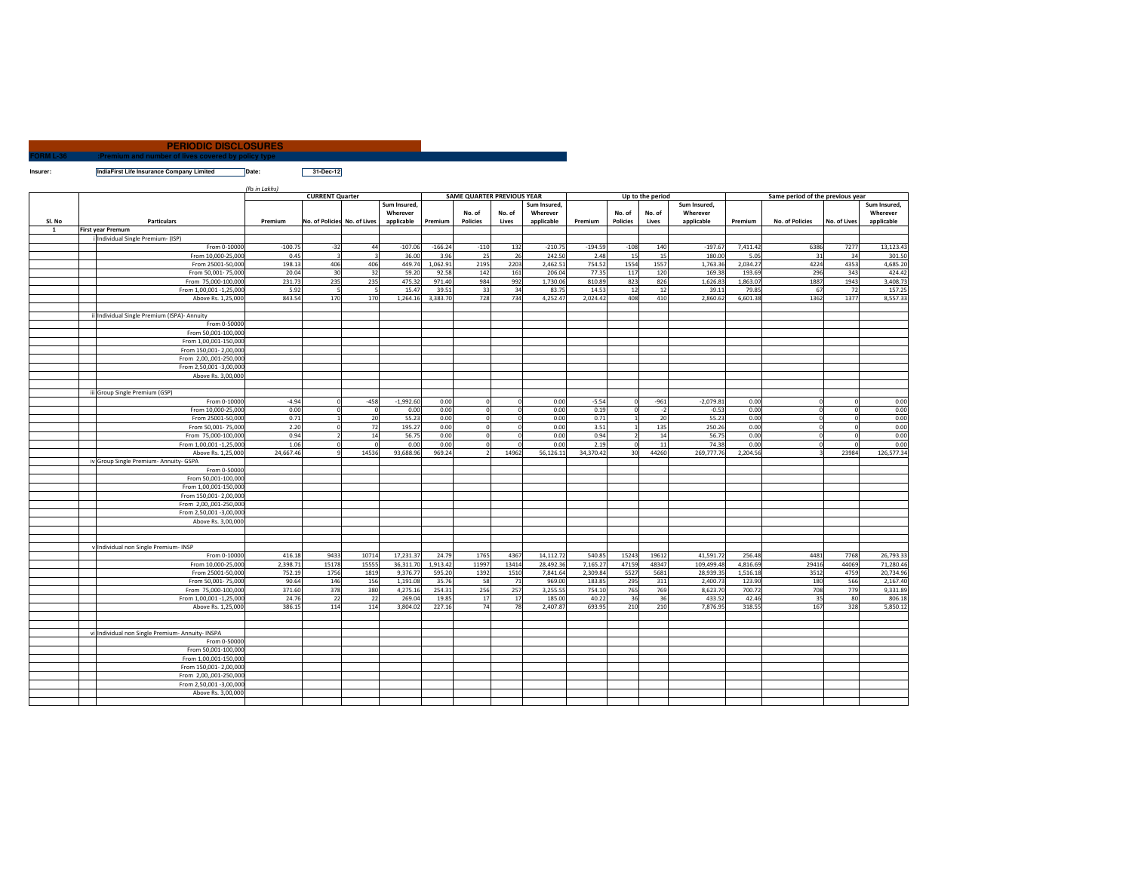|                  | <b>PERIODIC DISCLOSURES</b>                         |  |
|------------------|-----------------------------------------------------|--|
| <b>FORM L-36</b> | :Premium and number of lives covered by policy type |  |
|                  |                                                     |  |

**Insurer: IndiaFirst Life Insurance Company Limited Date: 31-Dec-12**

|          |                                                  | (Rs in Lakhs)           |           |                              |                |              |           |                                   |          |              |           |                 |                  |              |                                  |                 |              |              |
|----------|--------------------------------------------------|-------------------------|-----------|------------------------------|----------------|--------------|-----------|-----------------------------------|----------|--------------|-----------|-----------------|------------------|--------------|----------------------------------|-----------------|--------------|--------------|
|          |                                                  |                         |           | <b>CURRENT Quarter</b>       |                |              |           | <b>SAME QUARTER PREVIOUS YEAR</b> |          |              |           |                 | Up to the period |              | Same period of the previous year |                 |              |              |
|          |                                                  |                         |           |                              |                | Sum Insured. |           |                                   |          | Sum Insured. |           |                 |                  | Sum Insured. |                                  |                 |              | Sum Insured. |
|          |                                                  |                         |           |                              |                | Wherever     |           | No. of                            | No. of   | Wherever     |           | No. of          | No. of           | Wherever     |                                  |                 |              | Wherever     |
| SI. No   | <b>Particulars</b>                               |                         | Premium   | No. of Policies No. of Lives |                | applicable   | Premium   | <b>Policies</b>                   | Lives    | applicable   | Premium   | <b>Policies</b> | Lives            | applicable   | Premium                          | No. of Policies | No. of Lives | applicable   |
| <b>1</b> | <b>First year Premum</b>                         |                         |           |                              |                |              |           |                                   |          |              |           |                 |                  |              |                                  |                 |              |              |
|          | Individual Single Premium- (ISP)                 |                         |           |                              |                |              |           |                                   |          |              |           |                 |                  |              |                                  |                 |              |              |
|          |                                                  | From 0-10000            | $-100.75$ | $-32$                        | 44             | $-107.06$    | $-166.24$ | $-110$                            | 132      | $-210.75$    | $-194.59$ | $-108$          | 140              | $-197.67$    | 7,411.42                         | 6386            | 7277         | 13,123.43    |
|          |                                                  | From 10,000-25,000      | 0.45      | $\overline{3}$               | $\mathbf{a}$   | 36.00        | 3.96      | 25                                | 26       | 242.50       | 2.48      | 15              | 15               | 180.00       | 5.05                             | 31              | 34           | 301.50       |
|          |                                                  | From 25001-50,000       | 198.13    | 406                          | 406            | 449.74       | 1,062.91  | 2195                              | 2203     | 2,462.51     | 754.52    | 1554            | 155              | 1,763.36     | 2,034.27                         | 4224            | 4353         | 4,685.20     |
|          |                                                  | From 50,001-75,000      | 20.04     | 30                           | 32             | 59.20        | 92.58     | 142                               | 161      | 206.04       | 77.35     | 117             | 120              | 169.38       | 193.69                           | 296             | 343          | 424.42       |
|          |                                                  | From 75,000-100,000     | 231.73    | 235                          | 235            | 475.32       | 971.40    | 984                               | 992      | 1,730.06     | 810.89    | 823             | 82 <sub>0</sub>  | 1,626.83     | 1,863.07                         | 1887            | 1943         | 3,408.73     |
|          |                                                  | From 1,00,001 -1,25,000 | 5.92      |                              | - 5            | 15.47        | 39.51     | 33                                | 34       | 83.75        | 14.53     | 12              | 12               | 39.11        | 79.85                            | 67              | 72           | 157.25       |
|          |                                                  | Above Rs. 1,25,000      | 843.54    | 170                          | 170            | 1,264.16     | 3,383.70  | 728                               | 734      | 4,252.47     | 2,024.42  | 408             | 41               | 2,860.62     | 6,601.38                         | 1362            | 1377         | 8,557.33     |
|          |                                                  |                         |           |                              |                |              |           |                                   |          |              |           |                 |                  |              |                                  |                 |              |              |
|          | ii Individual Single Premium (ISPA)- Annuity     |                         |           |                              |                |              |           |                                   |          |              |           |                 |                  |              |                                  |                 |              |              |
|          |                                                  | From 0-50000            |           |                              |                |              |           |                                   |          |              |           |                 |                  |              |                                  |                 |              |              |
|          |                                                  | From 50,001-100,000     |           |                              |                |              |           |                                   |          |              |           |                 |                  |              |                                  |                 |              |              |
|          |                                                  | From 1,00,001-150,000   |           |                              |                |              |           |                                   |          |              |           |                 |                  |              |                                  |                 |              |              |
|          |                                                  | From 150,001-2,00,000   |           |                              |                |              |           |                                   |          |              |           |                 |                  |              |                                  |                 |              |              |
|          |                                                  | From 2,00,,001-250,000  |           |                              |                |              |           |                                   |          |              |           |                 |                  |              |                                  |                 |              |              |
|          |                                                  | From 2,50,001 -3,00,000 |           |                              |                |              |           |                                   |          |              |           |                 |                  |              |                                  |                 |              |              |
|          |                                                  | Above Rs. 3,00,000      |           |                              |                |              |           |                                   |          |              |           |                 |                  |              |                                  |                 |              |              |
|          |                                                  |                         |           |                              |                |              |           |                                   |          |              |           |                 |                  |              |                                  |                 |              |              |
|          | iii Group Single Premium (GSP)                   |                         |           |                              |                |              |           |                                   |          |              |           |                 |                  |              |                                  |                 |              |              |
|          |                                                  | From 0-10000            | $-4.94$   | $\Omega$                     | $-458$         | $-1,992.60$  | 0.00      | $\Omega$                          |          | 0.00         | $-5.54$   | $\mathbf{0}$    | $-961$           | $-2,079.81$  | 0.00                             | $\overline{0}$  | $\mathbf{0}$ | 0.00         |
|          |                                                  | From 10,000-25,000      | 0.00      | $\Omega$                     | $\overline{0}$ | 0.00         | 0.00      | $\circ$                           | $\Omega$ | 0.00         | 0.19      | $\Omega$        | $\cdot$          | $-0.53$      | 0.00                             | $\mathbf 0$     | $\mathbf 0$  | 0.00         |
|          |                                                  | From 25001-50,000       | 0.71      |                              | 20             | 55.23        | 0.00      | $\circ$                           |          | 0.00         | 0.71      | $\overline{1}$  | 20               | 55.23        | 0.00                             | $\mathbf 0$     | $\mathbf 0$  | 0.00         |
|          |                                                  | From 50,001-75,000      | 2.20      |                              | 72             | 195.27       | 0.00      | $\circ$                           | $\Omega$ | 0.00         | 3.51      | $\overline{1}$  | 135              | 250.26       | 0.00                             | $\mathbf 0$     | $\Omega$     | 0.00         |
|          |                                                  | From 75,000-100,000     | 0.94      |                              | 14             | 56.75        | 0.00      | $\circ$                           |          | 0.00         | 0.94      | $\mathcal{P}$   | 14               | 56.75        | 0.00                             | $\mathbf 0$     | $\Omega$     | 0.00         |
|          |                                                  | From 1,00,001 -1,25,000 | 1.06      |                              | $\Omega$       | 0.00         | 0.00      | $\Omega$                          |          | 0.00         | 2.19      | $\Omega$        | 11               | 74.38        | 0.00                             | $\mathbf 0$     |              | 0.00         |
|          |                                                  | Above Rs. 1,25,000      | 24,667.46 |                              | 14536          | 93.688.96    | 969.24    | $\mathcal{P}$                     | 14962    | 56,126.11    | 34,370.42 | 30              | 44260            | 269,777,76   | 2,204.56                         |                 | 23984        | 126,577.34   |
|          | iv Group Single Premium- Annuity- GSPA           |                         |           |                              |                |              |           |                                   |          |              |           |                 |                  |              |                                  |                 |              |              |
|          |                                                  | From 0-50000            |           |                              |                |              |           |                                   |          |              |           |                 |                  |              |                                  |                 |              |              |
|          |                                                  | From 50,001-100,000     |           |                              |                |              |           |                                   |          |              |           |                 |                  |              |                                  |                 |              |              |
|          |                                                  | From 1.00.001-150.000   |           |                              |                |              |           |                                   |          |              |           |                 |                  |              |                                  |                 |              |              |
|          |                                                  | From 150,001-2,00,000   |           |                              |                |              |           |                                   |          |              |           |                 |                  |              |                                  |                 |              |              |
|          |                                                  | From 2.00001-250.000    |           |                              |                |              |           |                                   |          |              |           |                 |                  |              |                                  |                 |              |              |
|          |                                                  | From 2,50,001 -3,00,000 |           |                              |                |              |           |                                   |          |              |           |                 |                  |              |                                  |                 |              |              |
|          |                                                  | Above Rs. 3,00,000      |           |                              |                |              |           |                                   |          |              |           |                 |                  |              |                                  |                 |              |              |
|          |                                                  |                         |           |                              |                |              |           |                                   |          |              |           |                 |                  |              |                                  |                 |              |              |
|          |                                                  |                         |           |                              |                |              |           |                                   |          |              |           |                 |                  |              |                                  |                 |              |              |
|          | v Individual non Single Premium- INSP            |                         |           |                              |                |              |           |                                   |          |              |           |                 |                  |              |                                  |                 |              |              |
|          |                                                  | From 0-10000            | 416.18    | 9433                         | 10714          | 17.231.37    | 24.79     | 1765                              | 4367     | 14,112.72    | 540.85    | 15243           | 1961             | 41.591.72    | 256.48                           | 4481            | 7768         | 26,793.33    |
|          |                                                  | From 10,000-25,000      | 2,398.71  | 15178                        | 15555          | 36,311.70    | 1,913.42  | 11997                             | 13414    | 28,492.36    | 7,165.27  | 47159           | 4834             | 109,499.48   | 4,816.69                         | 29416           | 44069        | 71,280.46    |
|          |                                                  | From 25001-50,000       | 752.19    | 1756                         | 1819           | 9,376.7      | 595.20    | 1392                              | 1510     | 7,841.64     | 2,309.84  | 5527            | 568              | 28,939.35    | 1,516.18                         | 3512            | 4759         | 20,734.96    |
|          |                                                  | From 50,001-75,000      | 90.64     | 146                          | 156            | 1,191.08     | 35.76     | 58                                | 71       | 969.00       | 183.85    | 295             | 311              | 2,400.7      | 123.90                           | 180             | 566          | 2,167.40     |
|          |                                                  | From 75,000-100,000     | 371.60    | 378                          | 380            | 4,275.16     | 254.31    | 256                               | 257      | 3,255.55     | 754.10    | 765             | 769              | 8,623.70     | 700.72                           | 708             | 779          | 9,331.89     |
|          |                                                  | From 1,00,001 -1,25,000 | 24.76     | 22                           | 22             | 269.04       | 19.85     | 17                                | 17       | 185.00       | 40.22     | 36              | 36               | 433.52       | 42.46                            | 35              | 80           | 806.18       |
|          |                                                  | Above Rs. 1,25,000      | 386.15    | 114                          | 114            | 3.804.02     | 227.16    | 74                                | 78       | 2.407.87     | 693.95    | 210             | 210              | 7.876.95     | 318.55                           | 167             | 328          | 5.850.12     |
|          |                                                  |                         |           |                              |                |              |           |                                   |          |              |           |                 |                  |              |                                  |                 |              |              |
|          |                                                  |                         |           |                              |                |              |           |                                   |          |              |           |                 |                  |              |                                  |                 |              |              |
|          | vi Individual non Single Premium- Annuity- INSPA |                         |           |                              |                |              |           |                                   |          |              |           |                 |                  |              |                                  |                 |              |              |
|          |                                                  | From 0-50000            |           |                              |                |              |           |                                   |          |              |           |                 |                  |              |                                  |                 |              |              |
|          |                                                  | From 50,001-100,000     |           |                              |                |              |           |                                   |          |              |           |                 |                  |              |                                  |                 |              |              |
|          |                                                  | From 1,00,001-150,000   |           |                              |                |              |           |                                   |          |              |           |                 |                  |              |                                  |                 |              |              |
|          |                                                  |                         |           |                              |                |              |           |                                   |          |              |           |                 |                  |              |                                  |                 |              |              |
|          |                                                  | From 150,001-2,00,000   |           |                              |                |              |           |                                   |          |              |           |                 |                  |              |                                  |                 |              |              |
|          |                                                  | From 2,00,,001-250,000  |           |                              |                |              |           |                                   |          |              |           |                 |                  |              |                                  |                 |              |              |
|          |                                                  | From 2,50,001 -3,00,000 |           |                              |                |              |           |                                   |          |              |           |                 |                  |              |                                  |                 |              |              |
|          |                                                  | Above Rs. 3,00,000      |           |                              |                |              |           |                                   |          |              |           |                 |                  |              |                                  |                 |              |              |
|          |                                                  |                         |           |                              |                |              |           |                                   |          |              |           |                 |                  |              |                                  |                 |              |              |